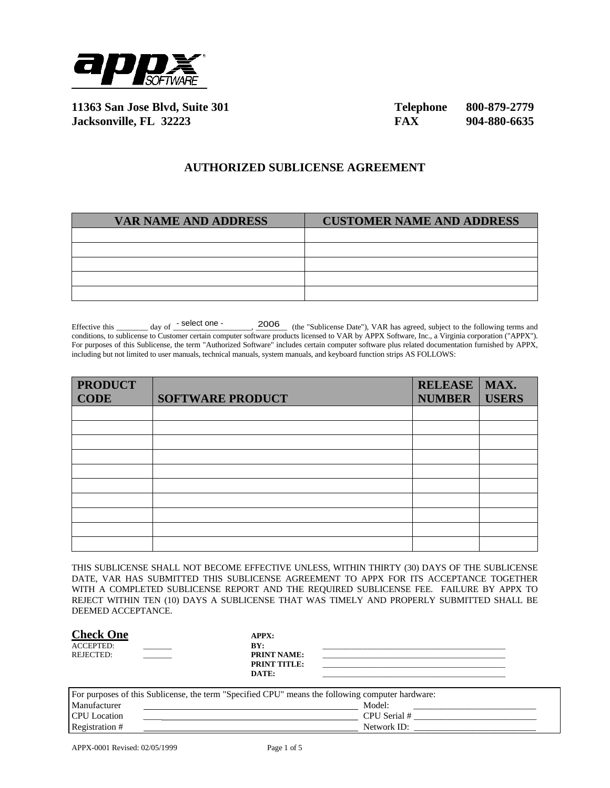

**11363 San Jose Blvd, Suite 301 Telephone 800-879-2779 Jacksonville, FL 32223 FAX 904-880-6635**

## **AUTHORIZED SUBLICENSE AGREEMENT**

| <b>VAR NAME AND ADDRESS</b> | <b>CUSTOMER NAME AND ADDRESS</b> |
|-----------------------------|----------------------------------|
|                             |                                  |
|                             |                                  |
|                             |                                  |
|                             |                                  |
|                             |                                  |

Effective this \_\_\_\_\_\_\_\_ day of  $\frac{\text{select one}}{\text{select one}}$ .  $\frac{2006}{\text{(the "Sublicense Date")}, \text{VAR has agreed, subject to the following terms and$ conditions, to sublicense to Customer certain computer software products licensed to VAR by APPX Software, Inc., a Virginia corporation ("APPX"). For purposes of this Sublicense, the term "Authorized Software" includes certain computer software plus related documentation furnished by APPX, including but not limited to user manuals, technical manuals, system manuals, and keyboard function strips AS FOLLOWS: - select one - 2006

| <b>PRODUCT</b> |                         | RELEASE   MAX. |              |
|----------------|-------------------------|----------------|--------------|
| <b>CODE</b>    | <b>SOFTWARE PRODUCT</b> | <b>NUMBER</b>  | <b>USERS</b> |
|                |                         |                |              |
|                |                         |                |              |
|                |                         |                |              |
|                |                         |                |              |
|                |                         |                |              |
|                |                         |                |              |
|                |                         |                |              |
|                |                         |                |              |
|                |                         |                |              |
|                |                         |                |              |

THIS SUBLICENSE SHALL NOT BECOME EFFECTIVE UNLESS, WITHIN THIRTY (30) DAYS OF THE SUBLICENSE DATE, VAR HAS SUBMITTED THIS SUBLICENSE AGREEMENT TO APPX FOR ITS ACCEPTANCE TOGETHER WITH A COMPLETED SUBLICENSE REPORT AND THE REQUIRED SUBLICENSE FEE. FAILURE BY APPX TO REJECT WITHIN TEN (10) DAYS A SUBLICENSE THAT WAS TIMELY AND PROPERLY SUBMITTED SHALL BE DEEMED ACCEPTANCE.

| <b>Check One</b>                                                                                                                                                                                                                              |  | <b>APPX:</b>        |  |
|-----------------------------------------------------------------------------------------------------------------------------------------------------------------------------------------------------------------------------------------------|--|---------------------|--|
| <b>ACCEPTED:</b>                                                                                                                                                                                                                              |  | BY:                 |  |
| REJECTED:                                                                                                                                                                                                                                     |  | <b>PRINT NAME:</b>  |  |
|                                                                                                                                                                                                                                               |  | <b>PRINT TITLE:</b> |  |
|                                                                                                                                                                                                                                               |  | DATE:               |  |
|                                                                                                                                                                                                                                               |  |                     |  |
| $\Box$ . The contract of $A$ is $\Box$ and $A$ is a second contract of $\Box$ . The contract of $\Box$ is a second contract of $\Box$ is a second contract of $\Box$ is a second contract of $\Box$ is a second contract of $\Box$ is a secon |  |                     |  |

| For purposes of this Sublicense, the term "Specified CPU" means the following computer hardware: |              |  |
|--------------------------------------------------------------------------------------------------|--------------|--|
| Manufacturer                                                                                     | Model:       |  |
| <b>CPU</b> Location                                                                              | CPU Serial # |  |
| Registration #                                                                                   | Network ID:  |  |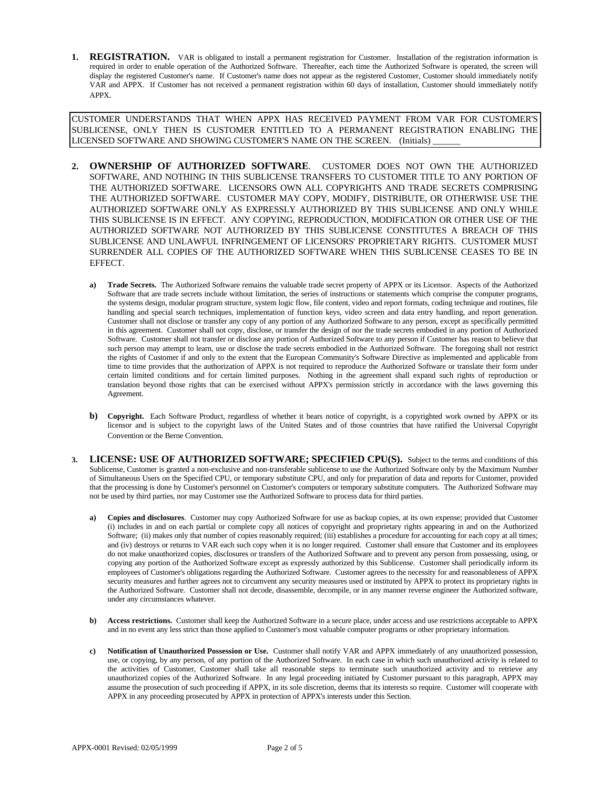1. REGISTRATION. VAR is obligated to install a permanent registration for Customer. Installation of the registration information is required in order to enable operation of the Authorized Software. Thereafter, each time the Authorized Software is operated, the screen will display the registered Customer's name. If Customer's name does not appear as the registered Customer, Customer should immediately notify VAR and APPX. If Customer has not received a permanent registration within 60 days of installation, Customer should immediately notify APPX.

CUSTOMER UNDERSTANDS THAT WHEN APPX HAS RECEIVED PAYMENT FROM VAR FOR CUSTOMER'S SUBLICENSE, ONLY THEN IS CUSTOMER ENTITLED TO A PERMANENT REGISTRATION ENABLING THE LICENSED SOFTWARE AND SHOWING CUSTOMER'S NAME ON THE SCREEN. (Initials)

- **2. OWNERSHIP OF AUTHORIZED SOFTWARE**. CUSTOMER DOES NOT OWN THE AUTHORIZED SOFTWARE, AND NOTHING IN THIS SUBLICENSE TRANSFERS TO CUSTOMER TITLE TO ANY PORTION OF THE AUTHORIZED SOFTWARE. LICENSORS OWN ALL COPYRIGHTS AND TRADE SECRETS COMPRISING THE AUTHORIZED SOFTWARE. CUSTOMER MAY COPY, MODIFY, DISTRIBUTE, OR OTHERWISE USE THE AUTHORIZED SOFTWARE ONLY AS EXPRESSLY AUTHORIZED BY THIS SUBLICENSE AND ONLY WHILE THIS SUBLICENSE IS IN EFFECT. ANY COPYING, REPRODUCTION, MODIFICATION OR OTHER USE OF THE AUTHORIZED SOFTWARE NOT AUTHORIZED BY THIS SUBLICENSE CONSTITUTES A BREACH OF THIS SUBLICENSE AND UNLAWFUL INFRINGEMENT OF LICENSORS' PROPRIETARY RIGHTS. CUSTOMER MUST SURRENDER ALL COPIES OF THE AUTHORIZED SOFTWARE WHEN THIS SUBLICENSE CEASES TO BE IN EFFECT.
	- **a) Trade Secrets.** The Authorized Software remains the valuable trade secret property of APPX or its Licensor. Aspects of the Authorized Software that are trade secrets include without limitation, the series of instructions or statements which comprise the computer programs, the systems design, modular program structure, system logic flow, file content, video and report formats, coding technique and routines, file handling and special search techniques, implementation of function keys, video screen and data entry handling, and report generation. Customer shall not disclose or transfer any copy of any portion of any Authorized Software to any person, except as specifically permitted in this agreement. Customer shall not copy, disclose, or transfer the design of nor the trade secrets embodied in any portion of Authorized Software. Customer shall not transfer or disclose any portion of Authorized Software to any person if Customer has reason to believe that such person may attempt to learn, use or disclose the trade secrets embodied in the Authorized Software. The foregoing shall not restrict the rights of Customer if and only to the extent that the European Community's Software Directive as implemented and applicable from time to time provides that the authorization of APPX is not required to reproduce the Authorized Software or translate their form under certain limited conditions and for certain limited purposes. Nothing in the agreement shall expand such rights of reproduction or translation beyond those rights that can be exercised without APPX's permission strictly in accordance with the laws governing this Agreement.
	- **b) Copyright.** Each Software Product, regardless of whether it bears notice of copyright, is a copyrighted work owned by APPX or its licensor and is subject to the copyright laws of the United States and of those countries that have ratified the Universal Copyright Convention or the Berne Convention.
- **LICENSE: USE OF AUTHORIZED SOFTWARE; SPECIFIED CPU(S).** Subject to the terms and conditions of this Sublicense, Customer is granted a non-exclusive and non-transferable sublicense to use the Authorized Software only by the Maximum Number of Simultaneous Users on the Specified CPU, or temporary substitute CPU, and only for preparation of data and reports for Customer, provided that the processing is done by Customer's personnel on Customer's computers or temporary substitute computers. The Authorized Software may not be used by third parties, nor may Customer use the Authorized Software to process data for third parties.
	- **a) Copies and disclosures**. Customer may copy Authorized Software for use as backup copies, at its own expense; provided that Customer (i) includes in and on each partial or complete copy all notices of copyright and proprietary rights appearing in and on the Authorized Software; (ii) makes only that number of copies reasonably required; (iii) establishes a procedure for accounting for each copy at all times; and (iv) destroys or returns to VAR each such copy when it is no longer required. Customer shall ensure that Customer and its employees do not make unauthorized copies, disclosures or transfers of the Authorized Software and to prevent any person from possessing, using, or copying any portion of the Authorized Software except as expressly authorized by this Sublicense. Customer shall periodically inform its employees of Customer's obligations regarding the Authorized Software. Customer agrees to the necessity for and reasonableness of APPX security measures and further agrees not to circumvent any security measures used or instituted by APPX to protect its proprietary rights in the Authorized Software. Customer shall not decode, disassemble, decompile, or in any manner reverse engineer the Authorized software, under any circumstances whatever.
	- **b) Access restrictions.** Customer shall keep the Authorized Software in a secure place, under access and use restrictions acceptable to APPX and in no event any less strict than those applied to Customer's most valuable computer programs or other proprietary information.
	- **c) Notification of Unauthorized Possession or Use.** Customer shall notify VAR and APPX immediately of any unauthorized possession, use, or copying, by any person, of any portion of the Authorized Software. In each case in which such unauthorized activity is related to the activities of Customer, Customer shall take all reasonable steps to terminate such unauthorized activity and to retrieve any unauthorized copies of the Authorized Software. In any legal proceeding initiated by Customer pursuant to this paragraph, APPX may assume the prosecution of such proceeding if APPX, in its sole discretion, deems that its interests so require. Customer will cooperate with APPX in any proceeding prosecuted by APPX in protection of APPX's interests under this Section.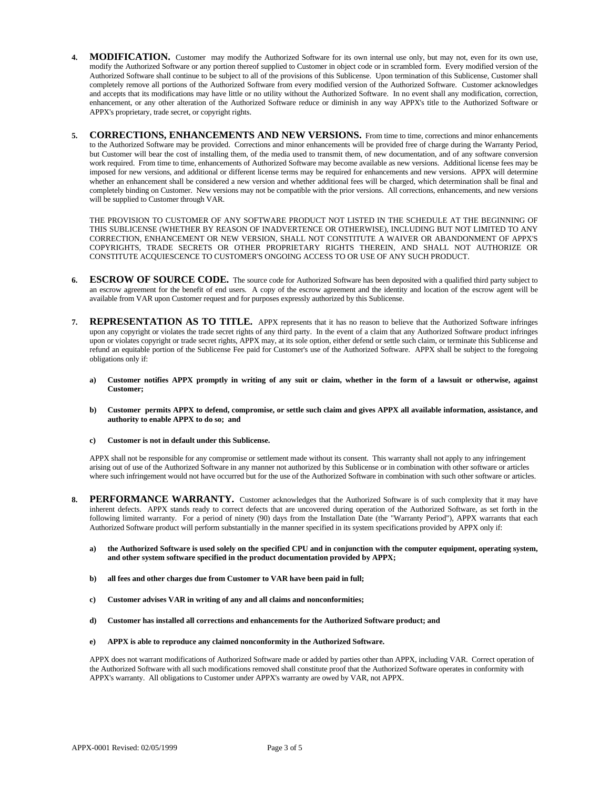- **4. MODIFICATION.** Customer may modify the Authorized Software for its own internal use only, but may not, even for its own use, modify the Authorized Software or any portion thereof supplied to Customer in object code or in scrambled form. Every modified version of the Authorized Software shall continue to be subject to all of the provisions of this Sublicense. Upon termination of this Sublicense, Customer shall completely remove all portions of the Authorized Software from every modified version of the Authorized Software. Customer acknowledges and accepts that its modifications may have little or no utility without the Authorized Software. In no event shall any modification, correction, enhancement, or any other alteration of the Authorized Software reduce or diminish in any way APPX's title to the Authorized Software or APPX's proprietary, trade secret, or copyright rights.
- **5. CORRECTIONS, ENHANCEMENTS AND NEW VERSIONS.** From time to time, corrections and minor enhancements to the Authorized Software may be provided. Corrections and minor enhancements will be provided free of charge during the Warranty Period, but Customer will bear the cost of installing them, of the media used to transmit them, of new documentation, and of any software conversion work required. From time to time, enhancements of Authorized Software may become available as new versions. Additional license fees may be imposed for new versions, and additional or different license terms may be required for enhancements and new versions. APPX will determine whether an enhancement shall be considered a new version and whether additional fees will be charged, which determination shall be final and completely binding on Customer. New versions may not be compatible with the prior versions. All corrections, enhancements, and new versions will be supplied to Customer through VAR.

THE PROVISION TO CUSTOMER OF ANY SOFTWARE PRODUCT NOT LISTED IN THE SCHEDULE AT THE BEGINNING OF THIS SUBLICENSE (WHETHER BY REASON OF INADVERTENCE OR OTHERWISE), INCLUDING BUT NOT LIMITED TO ANY CORRECTION, ENHANCEMENT OR NEW VERSION, SHALL NOT CONSTITUTE A WAIVER OR ABANDONMENT OF APPX'S COPYRIGHTS, TRADE SECRETS OR OTHER PROPRIETARY RIGHTS THEREIN, AND SHALL NOT AUTHORIZE OR CONSTITUTE ACQUIESCENCE TO CUSTOMER'S ONGOING ACCESS TO OR USE OF ANY SUCH PRODUCT.

- **6. ESCROW OF SOURCE CODE.** The source code for Authorized Software has been deposited with a qualified third party subject to an escrow agreement for the benefit of end users. A copy of the escrow agreement and the identity and location of the escrow agent will be available from VAR upon Customer request and for purposes expressly authorized by this Sublicense.
- **7. REPRESENTATION AS TO TITLE.** APPX represents that it has no reason to believe that the Authorized Software infringes upon any copyright or violates the trade secret rights of any third party. In the event of a claim that any Authorized Software product infringes upon or violates copyright or trade secret rights, APPX may, at its sole option, either defend or settle such claim, or terminate this Sublicense and refund an equitable portion of the Sublicense Fee paid for Customer's use of the Authorized Software. APPX shall be subject to the foregoing obligations only if:
	- **a) Customer notifies APPX promptly in writing of any suit or claim, whether in the form of a lawsuit or otherwise, against Customer;**
	- **b) Customer permits APPX to defend, compromise, or settle such claim and gives APPX all available information, assistance, and authority to enable APPX to do so; and**
	- **c) Customer is not in default under this Sublicense.**

APPX shall not be responsible for any compromise or settlement made without its consent. This warranty shall not apply to any infringement arising out of use of the Authorized Software in any manner not authorized by this Sublicense or in combination with other software or articles where such infringement would not have occurred but for the use of the Authorized Software in combination with such other software or articles.

- 8. **PERFORMANCE WARRANTY.** Customer acknowledges that the Authorized Software is of such complexity that it may have inherent defects. APPX stands ready to correct defects that are uncovered during operation of the Authorized Software, as set forth in the following limited warranty. For a period of ninety (90) days from the Installation Date (the "Warranty Period"), APPX warrants that each Authorized Software product will perform substantially in the manner specified in its system specifications provided by APPX only if:
	- **a) the Authorized Software is used solely on the specified CPU and in conjunction with the computer equipment, operating system, and other system software specified in the product documentation provided by APPX;**
	- **b) all fees and other charges due from Customer to VAR have been paid in full;**
	- **c) Customer advises VAR in writing of any and all claims and nonconformities;**
	- **d) Customer has installed all corrections and enhancements for the Authorized Software product; and**
	- **e) APPX is able to reproduce any claimed nonconformity in the Authorized Software.**

APPX does not warrant modifications of Authorized Software made or added by parties other than APPX, including VAR. Correct operation of the Authorized Software with all such modifications removed shall constitute proof that the Authorized Software operates in conformity with APPX's warranty. All obligations to Customer under APPX's warranty are owed by VAR, not APPX.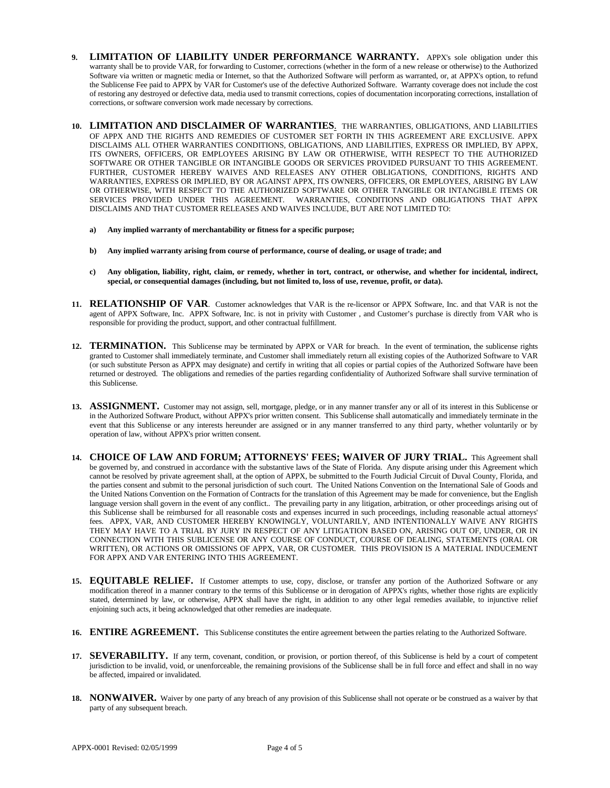- 9. **LIMITATION OF LIABILITY UNDER PERFORMANCE WARRANTY.** APPX's sole obligation under this warranty shall be to provide VAR, for forwarding to Customer, corrections (whether in the form of a new release or otherwise) to the Authorized Software via written or magnetic media or Internet, so that the Authorized Software will perform as warranted, or, at APPX's option, to refund the Sublicense Fee paid to APPX by VAR for Customer's use of the defective Authorized Software. Warranty coverage does not include the cost of restoring any destroyed or defective data, media used to transmit corrections, copies of documentation incorporating corrections, installation of corrections, or software conversion work made necessary by corrections.
- **10. LIMITATION AND DISCLAIMER OF WARRANTIES**. THE WARRANTIES, OBLIGATIONS, AND LIABILITIES OF APPX AND THE RIGHTS AND REMEDIES OF CUSTOMER SET FORTH IN THIS AGREEMENT ARE EXCLUSIVE. APPX DISCLAIMS ALL OTHER WARRANTIES CONDITIONS, OBLIGATIONS, AND LIABILITIES, EXPRESS OR IMPLIED, BY APPX, ITS OWNERS, OFFICERS, OR EMPLOYEES ARISING BY LAW OR OTHERWISE, WITH RESPECT TO THE AUTHORIZED SOFTWARE OR OTHER TANGIBLE OR INTANGIBLE GOODS OR SERVICES PROVIDED PURSUANT TO THIS AGREEMENT. FURTHER, CUSTOMER HEREBY WAIVES AND RELEASES ANY OTHER OBLIGATIONS, CONDITIONS, RIGHTS AND WARRANTIES, EXPRESS OR IMPLIED, BY OR AGAINST APPX, ITS OWNERS, OFFICERS, OR EMPLOYEES, ARISING BY LAW OR OTHERWISE, WITH RESPECT TO THE AUTHORIZED SOFTWARE OR OTHER TANGIBLE OR INTANGIBLE ITEMS OR SERVICES PROVIDED UNDER THIS AGREEMENT. WARRANTIES, CONDITIONS AND OBLIGATIONS THAT APPX DISCLAIMS AND THAT CUSTOMER RELEASES AND WAIVES INCLUDE, BUT ARE NOT LIMITED TO:
	- **a) Any implied warranty of merchantability or fitness for a specific purpose;**
	- **b) Any implied warranty arising from course of performance, course of dealing, or usage of trade; and**
	- **c) Any obligation, liability, right, claim, or remedy, whether in tort, contract, or otherwise, and whether for incidental, indirect, special, or consequential damages (including, but not limited to, loss of use, revenue, profit, or data).**
- **11. RELATIONSHIP OF VAR**. Customer acknowledges that VAR is the re-licensor or APPX Software, Inc. and that VAR is not the agent of APPX Software, Inc. APPX Software, Inc. is not in privity with Customer , and Customer's purchase is directly from VAR who is responsible for providing the product, support, and other contractual fulfillment.
- **12. TERMINATION.** This Sublicense may be terminated by APPX or VAR for breach. In the event of termination, the sublicense rights granted to Customer shall immediately terminate, and Customer shall immediately return all existing copies of the Authorized Software to VAR (or such substitute Person as APPX may designate) and certify in writing that all copies or partial copies of the Authorized Software have been returned or destroyed. The obligations and remedies of the parties regarding confidentiality of Authorized Software shall survive termination of this Sublicense.
- 13. **ASSIGNMENT.** Customer may not assign, sell, mortgage, pledge, or in any manner transfer any or all of its interest in this Sublicense or in the Authorized Software Product, without APPX's prior written consent. This Sublicense shall automatically and immediately terminate in the event that this Sublicense or any interests hereunder are assigned or in any manner transferred to any third party, whether voluntarily or by operation of law, without APPX's prior written consent.
- 14. **CHOICE OF LAW AND FORUM; ATTORNEYS' FEES; WAIVER OF JURY TRIAL.** This Agreement shall be governed by, and construed in accordance with the substantive laws of the State of Florida. Any dispute arising under this Agreement which cannot be resolved by private agreement shall, at the option of APPX, be submitted to the Fourth Judicial Circuit of Duval County, Florida, and the parties consent and submit to the personal jurisdiction of such court. The United Nations Convention on the International Sale of Goods and the United Nations Convention on the Formation of Contracts for the translation of this Agreement may be made for convenience, but the English language version shall govern in the event of any conflict.. The prevailing party in any litigation, arbitration, or other proceedings arising out of this Sublicense shall be reimbursed for all reasonable costs and expenses incurred in such proceedings, including reasonable actual attorneys' fees. APPX, VAR, AND CUSTOMER HEREBY KNOWINGLY, VOLUNTARILY, AND INTENTIONALLY WAIVE ANY RIGHTS THEY MAY HAVE TO A TRIAL BY JURY IN RESPECT OF ANY LITIGATION BASED ON, ARISING OUT OF, UNDER, OR IN CONNECTION WITH THIS SUBLICENSE OR ANY COURSE OF CONDUCT, COURSE OF DEALING, STATEMENTS (ORAL OR WRITTEN), OR ACTIONS OR OMISSIONS OF APPX, VAR, OR CUSTOMER. THIS PROVISION IS A MATERIAL INDUCEMENT FOR APPX AND VAR ENTERING INTO THIS AGREEMENT.
- **15. EQUITABLE RELIEF.** If Customer attempts to use, copy, disclose, or transfer any portion of the Authorized Software or any modification thereof in a manner contrary to the terms of this Sublicense or in derogation of APPX's rights, whether those rights are explicitly stated, determined by law, or otherwise, APPX shall have the right, in addition to any other legal remedies available, to injunctive relief enjoining such acts, it being acknowledged that other remedies are inadequate.
- **16. ENTIRE AGREEMENT.** This Sublicense constitutes the entire agreement between the parties relating to the Authorized Software.
- **17. SEVERABILITY.** If any term, covenant, condition, or provision, or portion thereof, of this Sublicense is held by a court of competent jurisdiction to be invalid, void, or unenforceable, the remaining provisions of the Sublicense shall be in full force and effect and shall in no way be affected, impaired or invalidated.
- **18. NONWAIVER.** Waiver by one party of any breach of any provision of this Sublicense shall not operate or be construed as a waiver by that party of any subsequent breach.